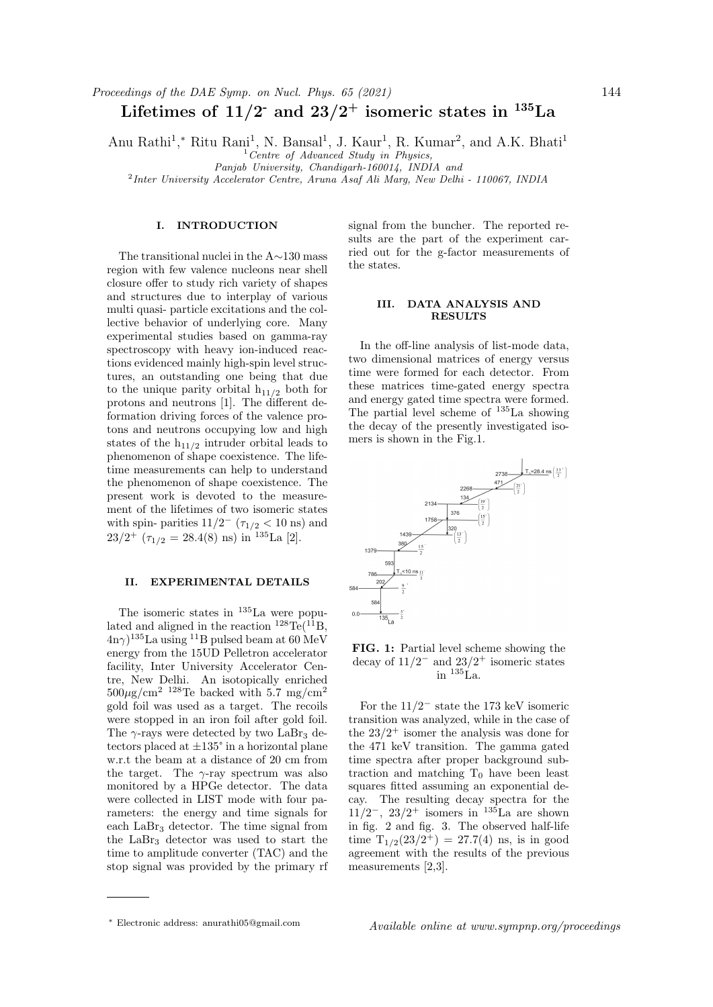# Lifetimes of  $11/2$ <sup>-</sup> and  $23/2$ <sup>+</sup> isomeric states in <sup>135</sup>La

Anu Rathi<sup>1</sup>,\* Ritu Rani<sup>1</sup>, N. Bansal<sup>1</sup>, J. Kaur<sup>1</sup>, R. Kumar<sup>2</sup>, and A.K. Bhati<sup>1</sup>

 $1$  Centre of Advanced Study in Physics,

Panjab University, Chandigarh-160014, INDIA and

<sup>2</sup>Inter University Accelerator Centre, Aruna Asaf Ali Marg, New Delhi - 110067, INDIA

## I. INTRODUCTION

The transitional nuclei in the A∼130 mass region with few valence nucleons near shell closure offer to study rich variety of shapes and structures due to interplay of various multi quasi- particle excitations and the collective behavior of underlying core. Many experimental studies based on gamma-ray spectroscopy with heavy ion-induced reactions evidenced mainly high-spin level structures, an outstanding one being that due to the unique parity orbital  $h_{11/2}$  both for protons and neutrons [1]. The different deformation driving forces of the valence protons and neutrons occupying low and high states of the  $h_{11/2}$  intruder orbital leads to phenomenon of shape coexistence. The lifetime measurements can help to understand the phenomenon of shape coexistence. The present work is devoted to the measurement of the lifetimes of two isomeric states with spin- parities  $11/2^-$  ( $\tau_{1/2}$  < 10 ns) and  $23/2^{+}$  ( $\tau_{1/2} = 28.4(8)$  ns) in <sup>135</sup>La [2].

# II. EXPERIMENTAL DETAILS

The isomeric states in  $^{135}$ La were populated and aligned in the reaction  $^{128}\text{Te}$ ( $^{11}\text{B}$ ,  $(4n\gamma)^{135}$ La using <sup>11</sup>B pulsed beam at 60 MeV energy from the 15UD Pelletron accelerator facility, Inter University Accelerator Centre, New Delhi. An isotopically enriched  $500\mu$ g/cm<sup>2</sup> <sup>128</sup>Te backed with 5.7 mg/cm<sup>2</sup> gold foil was used as a target. The recoils were stopped in an iron foil after gold foil. The  $\gamma$ -rays were detected by two LaBr<sub>3</sub> detectors placed at  $\pm 135^{\circ}$  in a horizontal plane w.r.t the beam at a distance of 20 cm from the target. The  $\gamma$ -ray spectrum was also monitored by a HPGe detector. The data were collected in LIST mode with four parameters: the energy and time signals for each LaBr<sup>3</sup> detector. The time signal from the LaBr<sup>3</sup> detector was used to start the time to amplitude converter (TAC) and the stop signal was provided by the primary rf signal from the buncher. The reported results are the part of the experiment carried out for the g-factor measurements of the states.

#### III. DATA ANALYSIS AND **RESULTS**

In the off-line analysis of list-mode data, two dimensional matrices of energy versus time were formed for each detector. From these matrices time-gated energy spectra and energy gated time spectra were formed. The partial level scheme of <sup>135</sup>La showing the decay of the presently investigated isomers is shown in the Fig.1.



FIG. 1: Partial level scheme showing the decay of  $11/2^-$  and  $23/2^+$  isomeric states in <sup>135</sup>La.

For the 11/2<sup>−</sup> state the 173 keV isomeric transition was analyzed, while in the case of the  $23/2^+$  isomer the analysis was done for the 471 keV transition. The gamma gated time spectra after proper background subtraction and matching  $T_0$  have been least squares fitted assuming an exponential decay. The resulting decay spectra for the  $11/2^-$ ,  $23/2^+$  isomers in <sup>135</sup>La are shown in fig. 2 and fig. 3. The observed half-life time  $T_{1/2}(23/2^+) = 27.7(4)$  ns, is in good agreement with the results of the previous measurements [2,3].

<sup>∗</sup> Electronic address: anurathi05@gmail.com